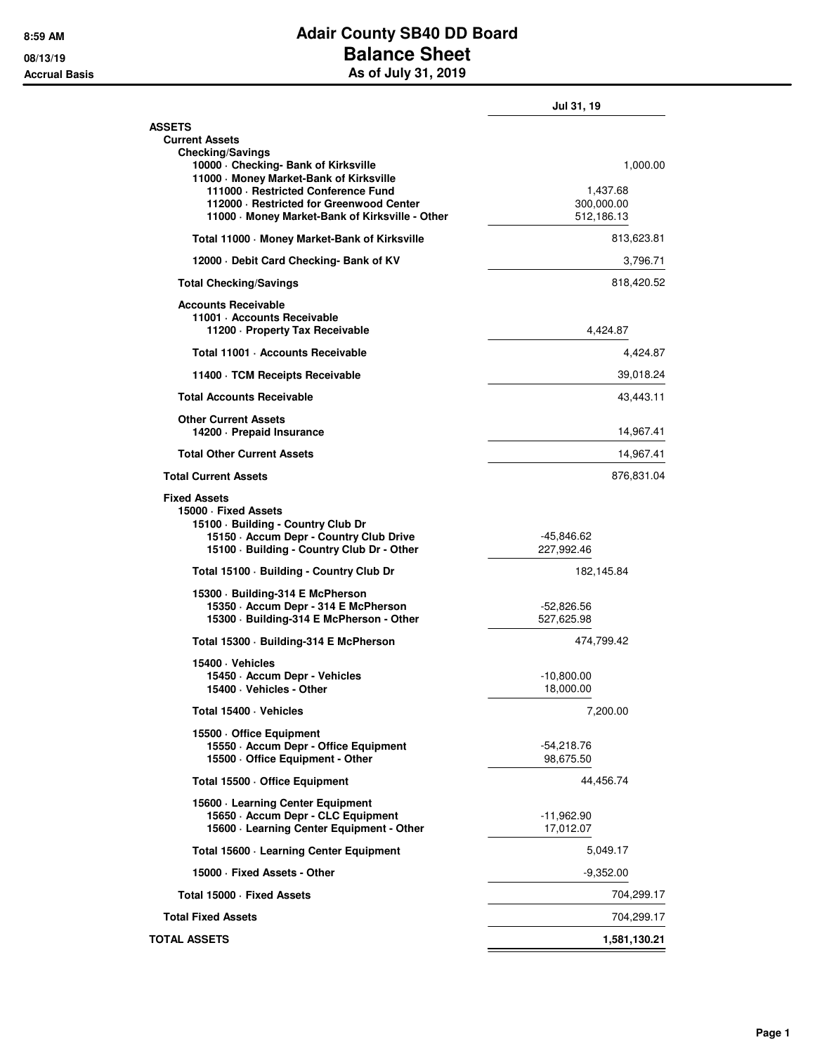## **8:59 AM Adair County SB40 DD Board 08/13/19 Balance Sheet Accrual Basis As of July 31, 2019**

|                                                                                                                                                                            | Jul 31, 19                |
|----------------------------------------------------------------------------------------------------------------------------------------------------------------------------|---------------------------|
| <b>ASSETS</b><br><b>Current Assets</b><br><b>Checking/Savings</b>                                                                                                          |                           |
| 10000 - Checking- Bank of Kirksville<br>11000 Money Market-Bank of Kirksville<br>111000 · Restricted Conference Fund                                                       | 1,000.00<br>1,437.68      |
| 112000 · Restricted for Greenwood Center<br>11000 Money Market-Bank of Kirksville - Other                                                                                  | 300,000.00<br>512,186.13  |
| Total 11000 Money Market-Bank of Kirksville                                                                                                                                | 813,623.81                |
| 12000 Debit Card Checking- Bank of KV                                                                                                                                      | 3,796.71                  |
| <b>Total Checking/Savings</b>                                                                                                                                              | 818,420.52                |
| <b>Accounts Receivable</b><br>11001 - Accounts Receivable<br>11200 - Property Tax Receivable                                                                               | 4,424.87                  |
| Total 11001 · Accounts Receivable                                                                                                                                          | 4,424.87                  |
| 11400 TCM Receipts Receivable                                                                                                                                              | 39,018.24                 |
| <b>Total Accounts Receivable</b>                                                                                                                                           | 43,443.11                 |
| <b>Other Current Assets</b><br>14200 - Prepaid Insurance                                                                                                                   | 14,967.41                 |
| <b>Total Other Current Assets</b>                                                                                                                                          | 14,967.41                 |
| <b>Total Current Assets</b>                                                                                                                                                | 876,831.04                |
| <b>Fixed Assets</b><br>15000 · Fixed Assets<br>15100 · Building - Country Club Dr<br>15150 - Accum Depr - Country Club Drive<br>15100 · Building - Country Club Dr - Other | -45,846.62<br>227,992.46  |
| Total 15100 · Building - Country Club Dr                                                                                                                                   | 182,145.84                |
| 15300 Building-314 E McPherson<br>15350 · Accum Depr - 314 E McPherson<br>15300 Building-314 E McPherson - Other                                                           | -52,826.56<br>527,625.98  |
| Total 15300 · Building-314 E McPherson                                                                                                                                     | 474,799.42                |
| 15400 · Vehicles                                                                                                                                                           |                           |
| 15450 · Accum Depr - Vehicles<br>15400 · Vehicles - Other                                                                                                                  | $-10,800.00$<br>18,000.00 |
| Total 15400 · Vehicles                                                                                                                                                     | 7,200.00                  |
| 15500 Office Equipment<br>15550 - Accum Depr - Office Equipment<br>15500 Office Equipment - Other                                                                          | -54,218.76<br>98,675.50   |
| Total 15500 - Office Equipment                                                                                                                                             | 44,456.74                 |
| 15600 · Learning Center Equipment<br>15650 - Accum Depr - CLC Equipment                                                                                                    | $-11,962.90$              |
| 15600 · Learning Center Equipment - Other                                                                                                                                  | 17,012.07                 |
| Total 15600 · Learning Center Equipment                                                                                                                                    | 5,049.17                  |
| 15000 Fixed Assets - Other                                                                                                                                                 | $-9,352.00$               |
| Total 15000 - Fixed Assets                                                                                                                                                 | 704,299.17                |
| <b>Total Fixed Assets</b>                                                                                                                                                  | 704,299.17                |
| <b>TOTAL ASSETS</b>                                                                                                                                                        | 1,581,130.21              |